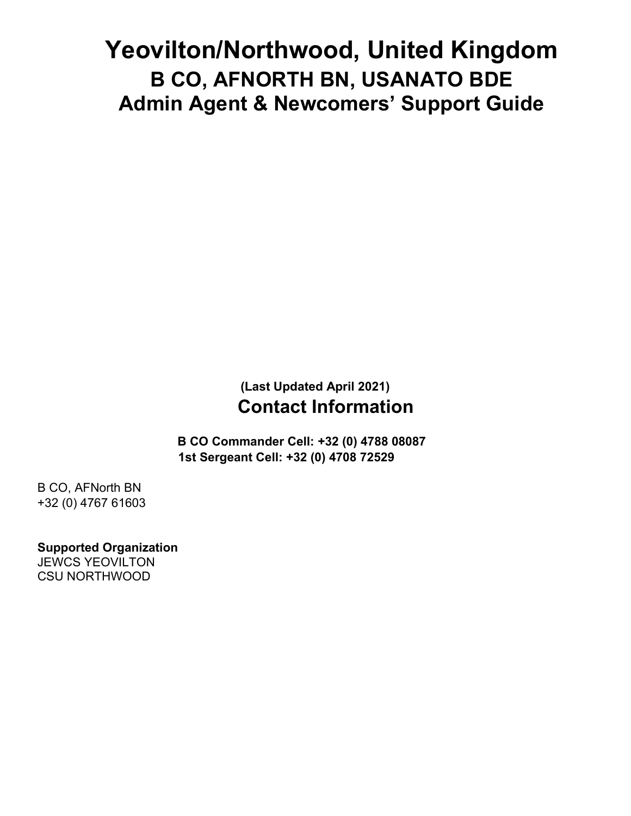# **Yeovilton/Northwood, United Kingdom B CO, AFNORTH BN, USANATO BDE Admin Agent & Newcomers' Support Guide**

# **(Last Updated April 2021) Contact Information**

**B CO Commander Cell: +32 (0) 4788 08087 1st Sergeant Cell: +32 (0) 4708 72529**

B CO, AFNorth BN +32 (0) 4767 61603

**Supported Organization**  JEWCS YEOVILTON CSU NORTHWOOD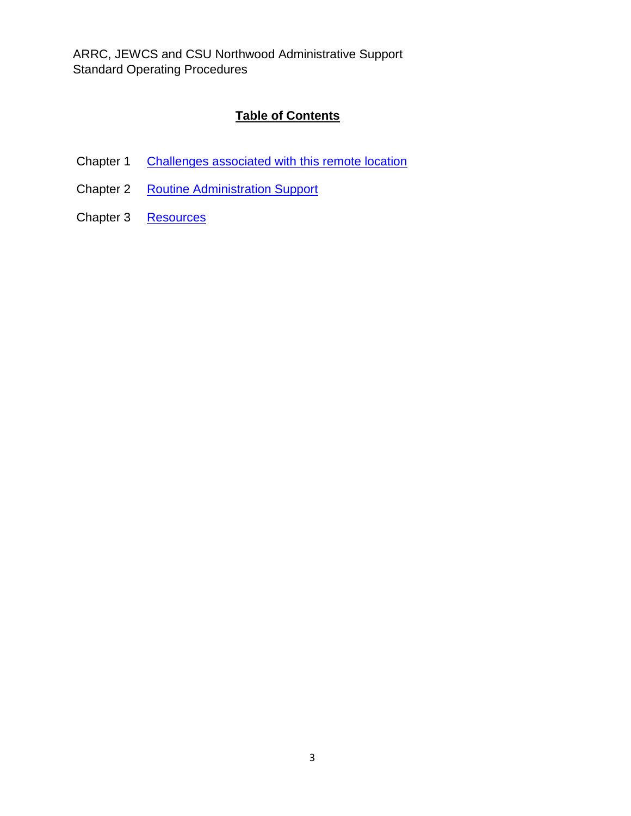ARRC, JEWCS and CSU Northwood Administrative Support Standard Operating Procedures

# **Table of Contents**

- Chapter 1 Challenges associated with this remote location
- Chapter 2 Routine Administration Support
- Chapter 3 Resources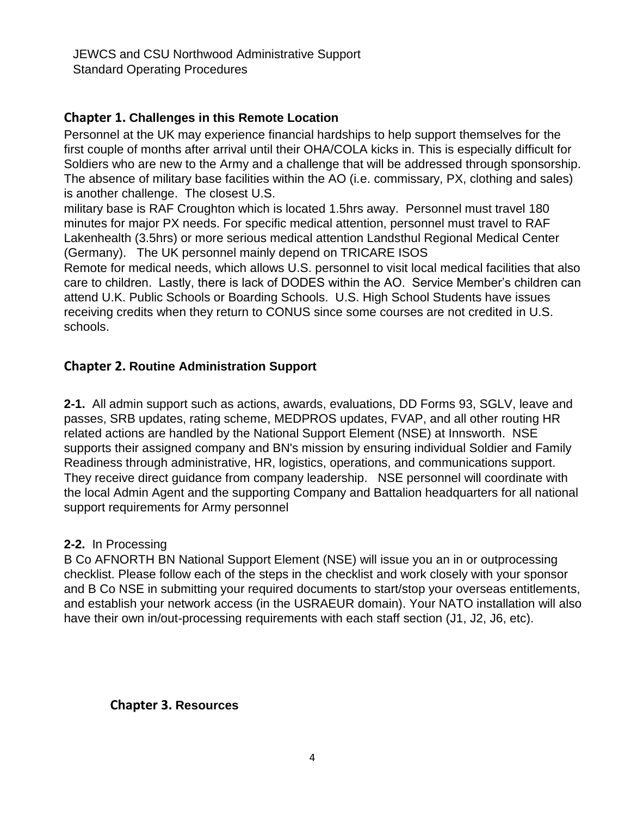JEWCS and CSU Northwood Administrative Support Standard Operating Procedures

# **Chapter 1. Challenges in this Remote Location**

Personnel at the UK may experience financial hardships to help support themselves for the first couple of months after arrival until their OHA/COLA kicks in. This is especially difficult for Soldiers who are new to the Army and a challenge that will be addressed through sponsorship. The absence of military base facilities within the AO (i.e. commissary, PX, clothing and sales) is another challenge. The closest U.S.

military base is RAF Croughton which is located 1.5hrs away. Personnel must travel 180 minutes for major PX needs. For specific medical attention, personnel must travel to RAF Lakenhealth (3.5hrs) or more serious medical attention Landsthul Regional Medical Center (Germany). The UK personnel mainly depend on TRICARE ISOS

Remote for medical needs, which allows U.S. personnel to visit local medical facilities that also care to children. Lastly, there is lack of DODES within the AO. Service Member's children can attend U.K. Public Schools or Boarding Schools. U.S. High School Students have issues receiving credits when they return to CONUS since some courses are not credited in U.S. schools.

## **Chapter 2. Routine Administration Support**

**2-1.** All admin support such as actions, awards, evaluations, DD Forms 93, SGLV, leave and passes, SRB updates, rating scheme, MEDPROS updates, FVAP, and all other routing HR related actions are handled by the National Support Element (NSE) at Innsworth. NSE supports their assigned company and BN's mission by ensuring individual Soldier and Family Readiness through administrative, HR, logistics, operations, and communications support. They receive direct guidance from company leadership. NSE personnel will coordinate with the local Admin Agent and the supporting Company and Battalion headquarters for all national support requirements for Army personnel

#### **2-2.** In Processing

B Co AFNORTH BN National Support Element (NSE) will issue you an in or outprocessing checklist. Please follow each of the steps in the checklist and work closely with your sponsor and B Co NSE in submitting your required documents to start/stop your overseas entitlements, and establish your network access (in the USRAEUR domain). Your NATO installation will also have their own in/out-processing requirements with each staff section (J1, J2, J6, etc).

#### **Chapter 3. Resources**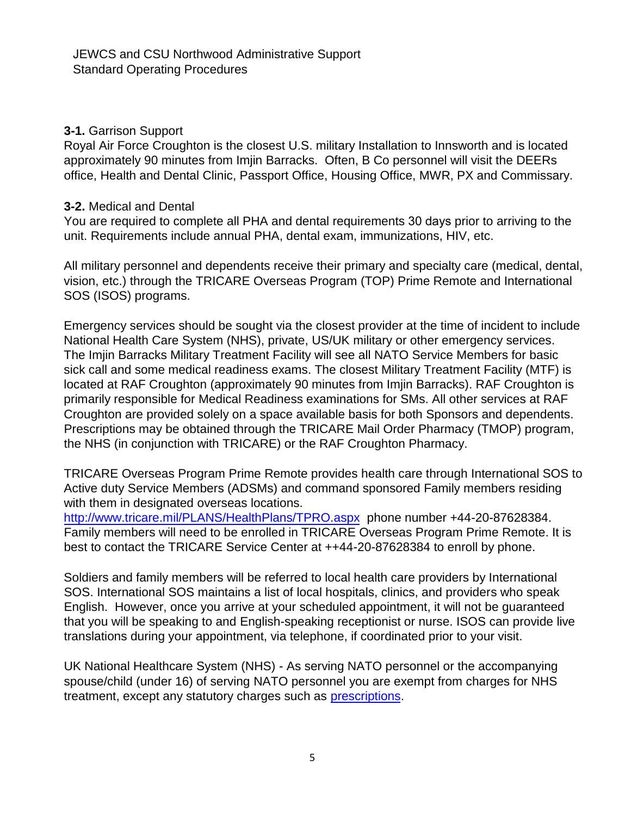### **3-1.** Garrison Support

Royal Air Force Croughton is the closest U.S. military Installation to Innsworth and is located approximately 90 minutes from Imjin Barracks. Often, B Co personnel will visit the DEERs office, Health and Dental Clinic, Passport Office, Housing Office, MWR, PX and Commissary.

#### **3-2.** Medical and Dental

You are required to complete all PHA and dental requirements 30 days prior to arriving to the unit. Requirements include annual PHA, dental exam, immunizations, HIV, etc.

All military personnel and dependents receive their primary and specialty care (medical, dental, vision, etc.) through the TRICARE Overseas Program (TOP) Prime Remote and International SOS (ISOS) programs.

Emergency services should be sought via the closest provider at the time of incident to include National Health Care System (NHS), private, US/UK military or other emergency services. The Imjin Barracks Military Treatment Facility will see all NATO Service Members for basic sick call and some medical readiness exams. The closest Military Treatment Facility (MTF) is located at RAF Croughton (approximately 90 minutes from Imjin Barracks). RAF Croughton is primarily responsible for Medical Readiness examinations for SMs. All other services at RAF Croughton are provided solely on a space available basis for both Sponsors and dependents. Prescriptions may be obtained through the TRICARE Mail Order Pharmacy (TMOP) program, the NHS (in conjunction with TRICARE) or the RAF Croughton Pharmacy.

TRICARE Overseas Program Prime Remote provides health care through International SOS to Active duty Service Members (ADSMs) and command sponsored Family members residing with them in designated overseas locations.

<http://www.tricare.mil/PLANS/HealthPlans/TPRO.aspx>phone number +44-20-87628384. Family members will need to be enrolled in TRICARE Overseas Program Prime Remote. It is best to contact the TRICARE Service Center at ++44-20-87628384 to enroll by phone.

Soldiers and family members will be referred to local health care providers by International SOS. International SOS maintains a list of local hospitals, clinics, and providers who speak English. However, once you arrive at your scheduled appointment, it will not be guaranteed that you will be speaking to and English-speaking receptionist or nurse. ISOS can provide live translations during your appointment, via telephone, if coordinated prior to your visit.

UK National Healthcare System (NHS) - As serving NATO personnel or the accompanying spouse/child (under 16) of serving NATO personnel you are exempt from charges for NHS treatment, except any statutory charges such as [prescriptions.](http://www.nhs.uk/NHSEngland/Healthcosts/Pages/Prescriptioncosts.aspx)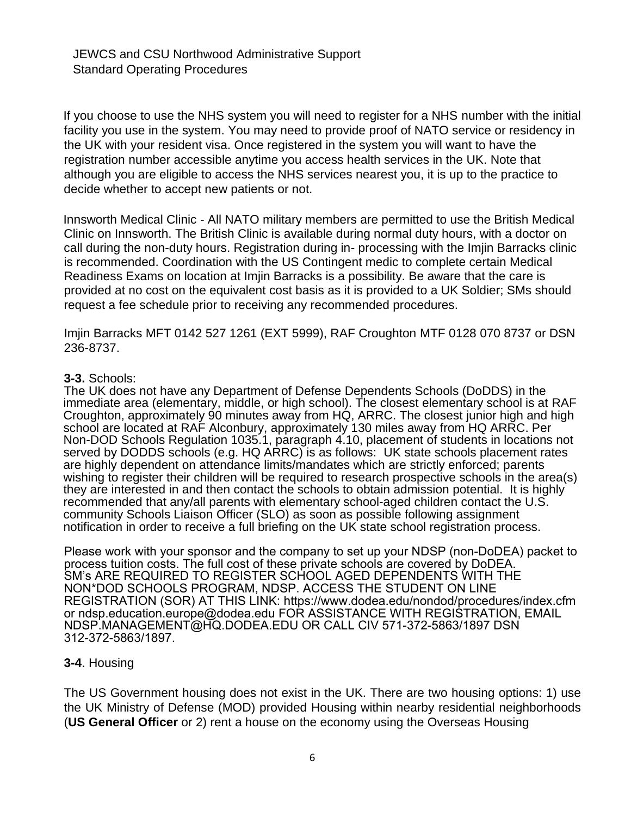If you choose to use the NHS system you will need to register for a NHS number with the initial facility you use in the system. You may need to provide proof of NATO service or residency in the UK with your resident visa. Once registered in the system you will want to have the registration number accessible anytime you access health services in the UK. Note that although you are eligible to access the NHS services nearest you, it is up to the practice to decide whether to accept new patients or not.

Innsworth Medical Clinic - All NATO military members are permitted to use the British Medical Clinic on Innsworth. The British Clinic is available during normal duty hours, with a doctor on call during the non-duty hours. Registration during in- processing with the Imjin Barracks clinic is recommended. Coordination with the US Contingent medic to complete certain Medical Readiness Exams on location at Imjin Barracks is a possibility. Be aware that the care is provided at no cost on the equivalent cost basis as it is provided to a UK Soldier; SMs should request a fee schedule prior to receiving any recommended procedures.

Imjin Barracks MFT 0142 527 1261 (EXT 5999), RAF Croughton MTF 0128 070 8737 or DSN 236-8737.

#### **3-3.** Schools:

The UK does not have any Department of Defense Dependents Schools (DoDDS) in the immediate area (elementary, middle, or high school). The closest elementary school is at RAF Croughton, approximately 90 minutes away from HQ, ARRC. The closest junior high and high school are located at RAF Alconbury, approximately 130 miles away from HQ ARRC. Per Non-DOD Schools Regulation 1035.1, paragraph 4.10, placement of students in locations not served by DODDS schools (e.g. HQ ARRC) is as follows: UK state schools placement rates are highly dependent on attendance limits/mandates which are strictly enforced; parents wishing to register their children will be required to research prospective schools in the area(s) they are interested in and then contact the schools to obtain admission potential. It is highly recommended that any/all parents with elementary school-aged children contact the U.S. community Schools Liaison Officer (SLO) as soon as possible following assignment notification in order to receive a full briefing on the UK state school registration process.

Please work with your sponsor and the company to set up your NDSP (non-DoDEA) packet to process tuition costs. The full cost of these private schools are covered by DoDEA. SM's ARE REQUIRED TO REGISTER SCHOOL AGED DEPENDENTS WITH THE NON\*DOD SCHOOLS PROGRAM, NDSP. ACCESS THE STUDENT ON LINE REGISTRATION (SOR) AT THIS LINK: https://www.dodea.edu/nondod/procedures/index.cfm or ndsp.education.europe@dodea.edu FOR ASSISTANCE WITH REGISTRATION, EMAIL NDSP.MANAGEMENT@HQ.DODEA.EDU OR CALL CIV 571-372-5863/1897 DSN 312-372-5863/1897.

#### **3-4**. Housing

The US Government housing does not exist in the UK. There are two housing options: 1) use the UK Ministry of Defense (MOD) provided Housing within nearby residential neighborhoods (**US General Officer** or 2) rent a house on the economy using the Overseas Housing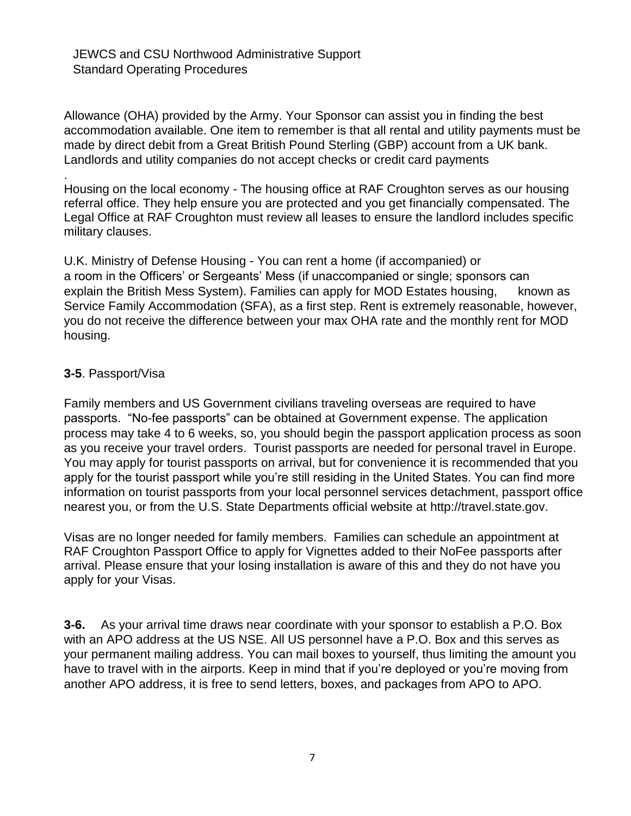JEWCS and CSU Northwood Administrative Support Standard Operating Procedures

Allowance (OHA) provided by the Army. Your Sponsor can assist you in finding the best accommodation available. One item to remember is that all rental and utility payments must be made by direct debit from a Great British Pound Sterling (GBP) account from a UK bank. Landlords and utility companies do not accept checks or credit card payments

. Housing on the local economy - The housing office at RAF Croughton serves as our housing referral office. They help ensure you are protected and you get financially compensated. The Legal Office at RAF Croughton must review all leases to ensure the landlord includes specific military clauses.

U.K. Ministry of Defense Housing - You can rent a home (if accompanied) or a room in the Officers' or Sergeants' Mess (if unaccompanied or single; sponsors can explain the British Mess System). Families can apply for MOD Estates housing, known as Service Family Accommodation (SFA), as a first step. Rent is extremely reasonable, however, you do not receive the difference between your max OHA rate and the monthly rent for MOD housing.

#### **3-5**. Passport/Visa

Family members and US Government civilians traveling overseas are required to have passports. "No-fee passports" can be obtained at Government expense. The application process may take 4 to 6 weeks, so, you should begin the passport application process as soon as you receive your travel orders. Tourist passports are needed for personal travel in Europe. You may apply for tourist passports on arrival, but for convenience it is recommended that you apply for the tourist passport while you're still residing in the United States. You can find more information on tourist passports from your local personnel services detachment, passport office nearest you, or from the U.S. State Departments official website at [http://travel.state.gov.](http://travel.state.gov/) 

Visas are no longer needed for family members. Families can schedule an appointment at RAF Croughton Passport Office to apply for Vignettes added to their NoFee passports after arrival. Please ensure that your losing installation is aware of this and they do not have you apply for your Visas.

**3-6.** As your arrival time draws near coordinate with your sponsor to establish a P.O. Box with an APO address at the US NSE. All US personnel have a P.O. Box and this serves as your permanent mailing address. You can mail boxes to yourself, thus limiting the amount you have to travel with in the airports. Keep in mind that if you're deployed or you're moving from another APO address, it is free to send letters, boxes, and packages from APO to APO.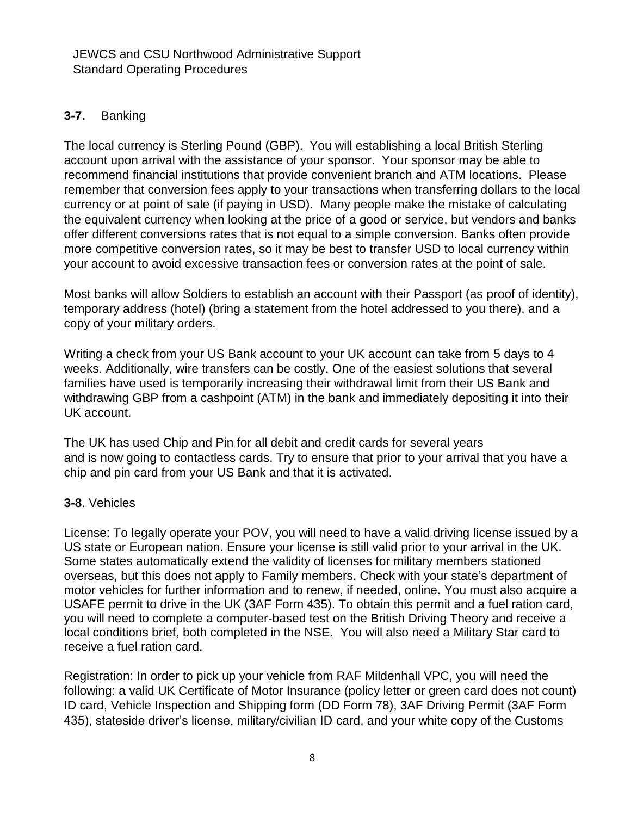# **3-7.** Banking

The local currency is Sterling Pound (GBP). You will establishing a local British Sterling account upon arrival with the assistance of your sponsor. Your sponsor may be able to recommend financial institutions that provide convenient branch and ATM locations. Please remember that conversion fees apply to your transactions when transferring dollars to the local currency or at point of sale (if paying in USD). Many people make the mistake of calculating the equivalent currency when looking at the price of a good or service, but vendors and banks offer different conversions rates that is not equal to a simple conversion. Banks often provide more competitive conversion rates, so it may be best to transfer USD to local currency within your account to avoid excessive transaction fees or conversion rates at the point of sale.

Most banks will allow Soldiers to establish an account with their Passport (as proof of identity), temporary address (hotel) (bring a statement from the hotel addressed to you there), and a copy of your military orders.

Writing a check from your US Bank account to your UK account can take from 5 days to 4 weeks. Additionally, wire transfers can be costly. One of the easiest solutions that several families have used is temporarily increasing their withdrawal limit from their US Bank and withdrawing GBP from a cashpoint (ATM) in the bank and immediately depositing it into their UK account.

The UK has used Chip and Pin for all debit and credit cards for several years and is now going to contactless cards. Try to ensure that prior to your arrival that you have a chip and pin card from your US Bank and that it is activated.

## **3-8**. Vehicles

License: To legally operate your POV, you will need to have a valid driving license issued by a US state or European nation. Ensure your license is still valid prior to your arrival in the UK. Some states automatically extend the validity of licenses for military members stationed overseas, but this does not apply to Family members. Check with your state's department of motor vehicles for further information and to renew, if needed, online. You must also acquire a USAFE permit to drive in the UK (3AF Form 435). To obtain this permit and a fuel ration card, you will need to complete a computer-based test on the British Driving Theory and receive a local conditions brief, both completed in the NSE. You will also need a Military Star card to receive a fuel ration card.

Registration: In order to pick up your vehicle from RAF Mildenhall VPC, you will need the following: a valid UK Certificate of Motor Insurance (policy letter or green card does not count) ID card, Vehicle Inspection and Shipping form (DD Form 78), 3AF Driving Permit (3AF Form 435), stateside driver's license, military/civilian ID card, and your white copy of the Customs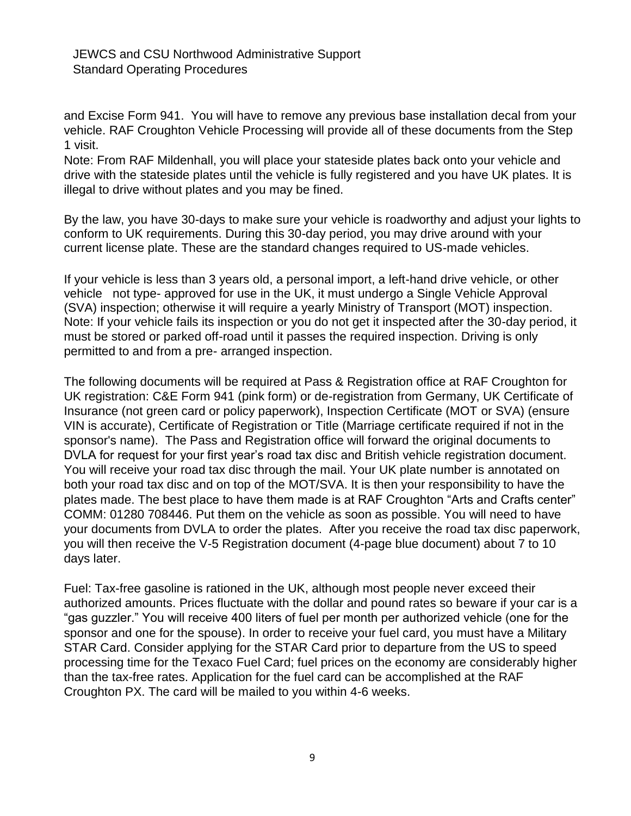and Excise Form 941. You will have to remove any previous base installation decal from your vehicle. RAF Croughton Vehicle Processing will provide all of these documents from the Step 1 visit.

Note: From RAF Mildenhall, you will place your stateside plates back onto your vehicle and drive with the stateside plates until the vehicle is fully registered and you have UK plates. It is illegal to drive without plates and you may be fined.

By the law, you have 30-days to make sure your vehicle is roadworthy and adjust your lights to conform to UK requirements. During this 30-day period, you may drive around with your current license plate. These are the standard changes required to US-made vehicles.

If your vehicle is less than 3 years old, a personal import, a left-hand drive vehicle, or other vehicle not type- approved for use in the UK, it must undergo a Single Vehicle Approval (SVA) inspection; otherwise it will require a yearly Ministry of Transport (MOT) inspection. Note: If your vehicle fails its inspection or you do not get it inspected after the 30-day period, it must be stored or parked off-road until it passes the required inspection. Driving is only permitted to and from a pre- arranged inspection.

The following documents will be required at Pass & Registration office at RAF Croughton for UK registration: C&E Form 941 (pink form) or de-registration from Germany, UK Certificate of Insurance (not green card or policy paperwork), Inspection Certificate (MOT or SVA) (ensure VIN is accurate), Certificate of Registration or Title (Marriage certificate required if not in the sponsor's name). The Pass and Registration office will forward the original documents to DVLA for request for your first year's road tax disc and British vehicle registration document. You will receive your road tax disc through the mail. Your UK plate number is annotated on both your road tax disc and on top of the MOT/SVA. It is then your responsibility to have the plates made. The best place to have them made is at RAF Croughton "Arts and Crafts center" COMM: 01280 708446. Put them on the vehicle as soon as possible. You will need to have your documents from DVLA to order the plates. After you receive the road tax disc paperwork, you will then receive the V-5 Registration document (4-page blue document) about 7 to 10 days later.

Fuel: Tax-free gasoline is rationed in the UK, although most people never exceed their authorized amounts. Prices fluctuate with the dollar and pound rates so beware if your car is a "gas guzzler." You will receive 400 liters of fuel per month per authorized vehicle (one for the sponsor and one for the spouse). In order to receive your fuel card, you must have a Military STAR Card. Consider applying for the STAR Card prior to departure from the US to speed processing time for the Texaco Fuel Card; fuel prices on the economy are considerably higher than the tax-free rates. Application for the fuel card can be accomplished at the RAF Croughton PX. The card will be mailed to you within 4-6 weeks.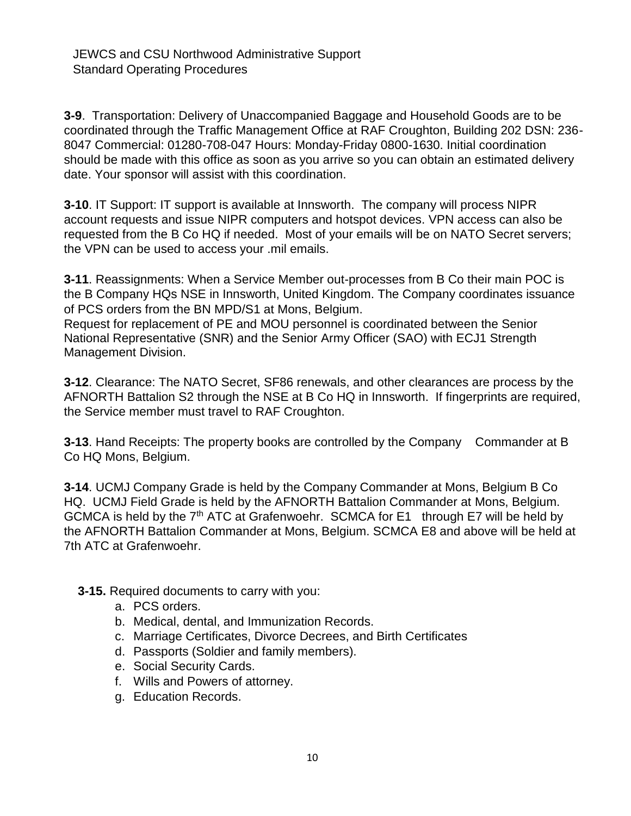**3-9**. Transportation: Delivery of Unaccompanied Baggage and Household Goods are to be coordinated through the Traffic Management Office at RAF Croughton, Building 202 DSN: 236- 8047 Commercial: 01280-708-047 Hours: Monday-Friday 0800-1630. Initial coordination should be made with this office as soon as you arrive so you can obtain an estimated delivery date. Your sponsor will assist with this coordination.

**3-10**. IT Support: IT support is available at Innsworth. The company will process NIPR account requests and issue NIPR computers and hotspot devices. VPN access can also be requested from the B Co HQ if needed. Most of your emails will be on NATO Secret servers; the VPN can be used to access your .mil emails.

**3-11**. Reassignments: When a Service Member out-processes from B Co their main POC is the B Company HQs NSE in Innsworth, United Kingdom. The Company coordinates issuance of PCS orders from the BN MPD/S1 at Mons, Belgium.

Request for replacement of PE and MOU personnel is coordinated between the Senior National Representative (SNR) and the Senior Army Officer (SAO) with ECJ1 Strength Management Division.

**3-12**. Clearance: The NATO Secret, SF86 renewals, and other clearances are process by the AFNORTH Battalion S2 through the NSE at B Co HQ in Innsworth. If fingerprints are required, the Service member must travel to RAF Croughton.

**3-13.** Hand Receipts: The property books are controlled by the Company Commander at B Co HQ Mons, Belgium.

**3-14**. UCMJ Company Grade is held by the Company Commander at Mons, Belgium B Co HQ. UCMJ Field Grade is held by the AFNORTH Battalion Commander at Mons, Belgium. GCMCA is held by the  $7<sup>th</sup>$  ATC at Grafenwoehr. SCMCA for E1 through E7 will be held by the AFNORTH Battalion Commander at Mons, Belgium. SCMCA E8 and above will be held at 7th ATC at Grafenwoehr.

**3-15.** Required documents to carry with you:

- a. PCS orders.
- b. Medical, dental, and Immunization Records.
- c. Marriage Certificates, Divorce Decrees, and Birth Certificates
- d. Passports (Soldier and family members).
- e. Social Security Cards.
- f. Wills and Powers of attorney.
- g. Education Records.